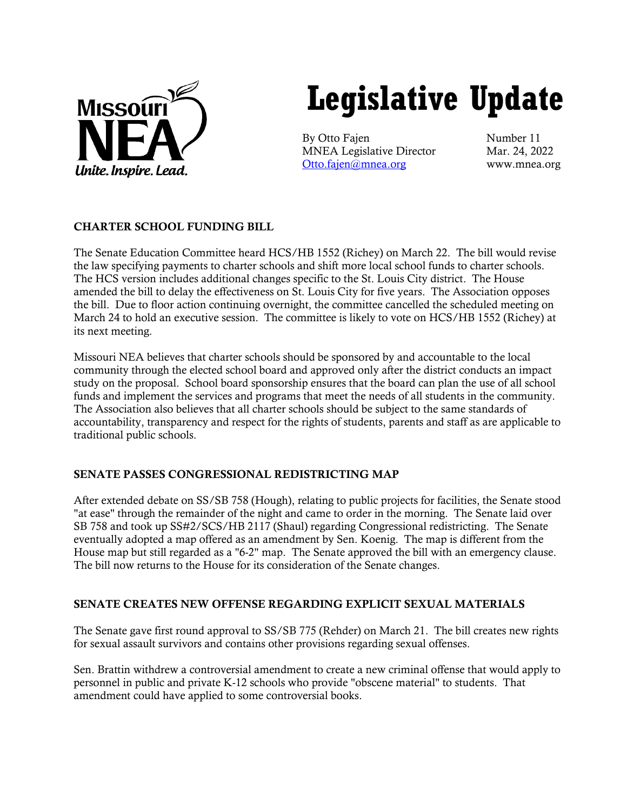

# **Legislative Update**

By Otto Fajen Number 11 MNEA Legislative Director Mar. 24, 2022 [Otto.fajen@mnea.org](mailto:Otto.fajen@mnea.org) www.mnea.org

# CHARTER SCHOOL FUNDING BILL

The Senate Education Committee heard HCS/HB 1552 (Richey) on March 22. The bill would revise the law specifying payments to charter schools and shift more local school funds to charter schools. The HCS version includes additional changes specific to the St. Louis City district. The House amended the bill to delay the effectiveness on St. Louis City for five years. The Association opposes the bill. Due to floor action continuing overnight, the committee cancelled the scheduled meeting on March 24 to hold an executive session. The committee is likely to vote on HCS/HB 1552 (Richey) at its next meeting.

Missouri NEA believes that charter schools should be sponsored by and accountable to the local community through the elected school board and approved only after the district conducts an impact study on the proposal. School board sponsorship ensures that the board can plan the use of all school funds and implement the services and programs that meet the needs of all students in the community. The Association also believes that all charter schools should be subject to the same standards of accountability, transparency and respect for the rights of students, parents and staff as are applicable to traditional public schools.

# SENATE PASSES CONGRESSIONAL REDISTRICTING MAP

After extended debate on SS/SB 758 (Hough), relating to public projects for facilities, the Senate stood "at ease" through the remainder of the night and came to order in the morning. The Senate laid over SB 758 and took up SS#2/SCS/HB 2117 (Shaul) regarding Congressional redistricting. The Senate eventually adopted a map offered as an amendment by Sen. Koenig. The map is different from the House map but still regarded as a "6-2" map. The Senate approved the bill with an emergency clause. The bill now returns to the House for its consideration of the Senate changes.

# SENATE CREATES NEW OFFENSE REGARDING EXPLICIT SEXUAL MATERIALS

The Senate gave first round approval to SS/SB 775 (Rehder) on March 21. The bill creates new rights for sexual assault survivors and contains other provisions regarding sexual offenses.

Sen. Brattin withdrew a controversial amendment to create a new criminal offense that would apply to personnel in public and private K-12 schools who provide "obscene material" to students. That amendment could have applied to some controversial books.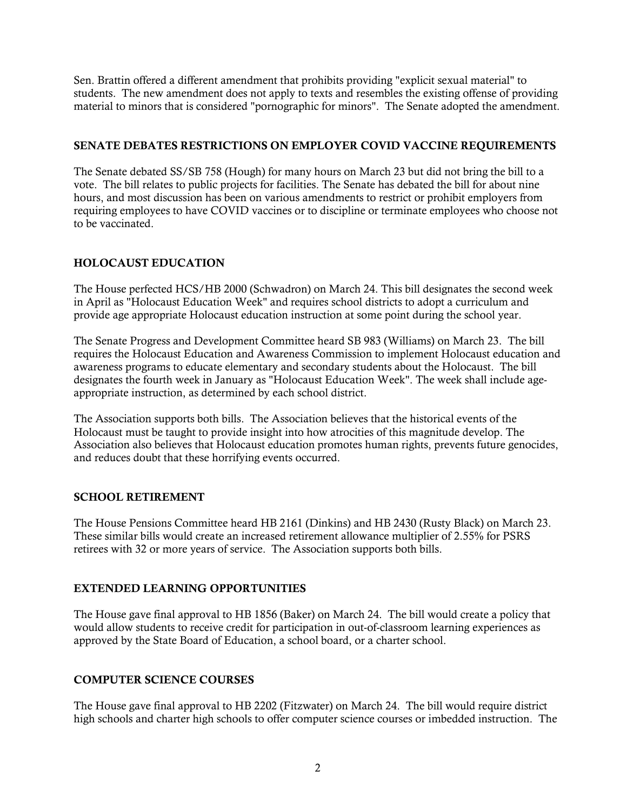Sen. Brattin offered a different amendment that prohibits providing "explicit sexual material" to students. The new amendment does not apply to texts and resembles the existing offense of providing material to minors that is considered "pornographic for minors". The Senate adopted the amendment.

# SENATE DEBATES RESTRICTIONS ON EMPLOYER COVID VACCINE REQUIREMENTS

The Senate debated SS/SB 758 (Hough) for many hours on March 23 but did not bring the bill to a vote. The bill relates to public projects for facilities. The Senate has debated the bill for about nine hours, and most discussion has been on various amendments to restrict or prohibit employers from requiring employees to have COVID vaccines or to discipline or terminate employees who choose not to be vaccinated.

# HOLOCAUST EDUCATION

The House perfected HCS/HB 2000 (Schwadron) on March 24. This bill designates the second week in April as "Holocaust Education Week" and requires school districts to adopt a curriculum and provide age appropriate Holocaust education instruction at some point during the school year.

The Senate Progress and Development Committee heard SB 983 (Williams) on March 23. The bill requires the Holocaust Education and Awareness Commission to implement Holocaust education and awareness programs to educate elementary and secondary students about the Holocaust. The bill designates the fourth week in January as "Holocaust Education Week". The week shall include ageappropriate instruction, as determined by each school district.

The Association supports both bills. The Association believes that the historical events of the Holocaust must be taught to provide insight into how atrocities of this magnitude develop. The Association also believes that Holocaust education promotes human rights, prevents future genocides, and reduces doubt that these horrifying events occurred.

# SCHOOL RETIREMENT

The House Pensions Committee heard HB 2161 (Dinkins) and HB 2430 (Rusty Black) on March 23. These similar bills would create an increased retirement allowance multiplier of 2.55% for PSRS retirees with 32 or more years of service. The Association supports both bills.

# EXTENDED LEARNING OPPORTUNITIES

The House gave final approval to HB 1856 (Baker) on March 24. The bill would create a policy that would allow students to receive credit for participation in out-of-classroom learning experiences as approved by the State Board of Education, a school board, or a charter school.

# COMPUTER SCIENCE COURSES

The House gave final approval to HB 2202 (Fitzwater) on March 24. The bill would require district high schools and charter high schools to offer computer science courses or imbedded instruction. The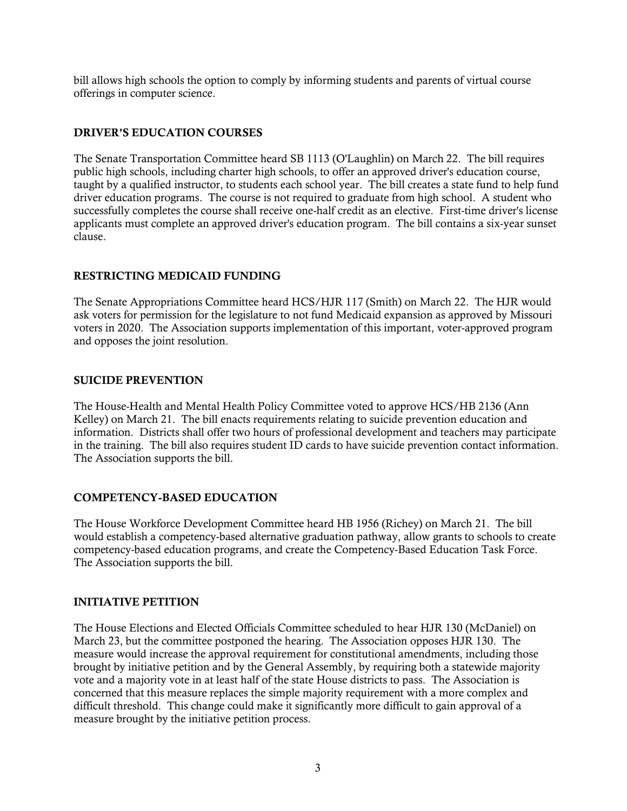bill allows high schools the option to comply by informing students and parents of virtual course offerings in computer science.

#### DRIVER'S EDUCATION COURSES

The Senate Transportation Committee heard SB 1113 (O'Laughlin) on March 22. The bill requires public high schools, including charter high schools, to offer an approved driver's education course, taught by a qualified instructor, to students each school year. The bill creates a state fund to help fund driver education programs. The course is not required to graduate from high school. A student who successfully completes the course shall receive one-half credit as an elective. First-time driver's license applicants must complete an approved driver's education program. The bill contains a six-year sunset clause.

# RESTRICTING MEDICAID FUNDING

The Senate Appropriations Committee heard HCS/HJR 117 (Smith) on March 22. The HJR would ask voters for permission for the legislature to not fund Medicaid expansion as approved by Missouri voters in 2020. The Association supports implementation of this important, voter-approved program and opposes the joint resolution.

# SUICIDE PREVENTION

The House-Health and Mental Health Policy Committee voted to approve HCS/HB 2136 (Ann Kelley) on March 21. The bill enacts requirements relating to suicide prevention education and information. Districts shall offer two hours of professional development and teachers may participate in the training. The bill also requires student ID cards to have suicide prevention contact information. The Association supports the bill.

# COMPETENCY-BASED EDUCATION

The House Workforce Development Committee heard HB 1956 (Richey) on March 21. The bill would establish a competency-based alternative graduation pathway, allow grants to schools to create competency-based education programs, and create the Competency-Based Education Task Force. The Association supports the bill.

# INITIATIVE PETITION

The House Elections and Elected Officials Committee scheduled to hear HJR 130 (McDaniel) on March 23, but the committee postponed the hearing. The Association opposes HJR 130. The measure would increase the approval requirement for constitutional amendments, including those brought by initiative petition and by the General Assembly, by requiring both a statewide majority vote and a majority vote in at least half of the state House districts to pass. The Association is concerned that this measure replaces the simple majority requirement with a more complex and difficult threshold. This change could make it significantly more difficult to gain approval of a measure brought by the initiative petition process.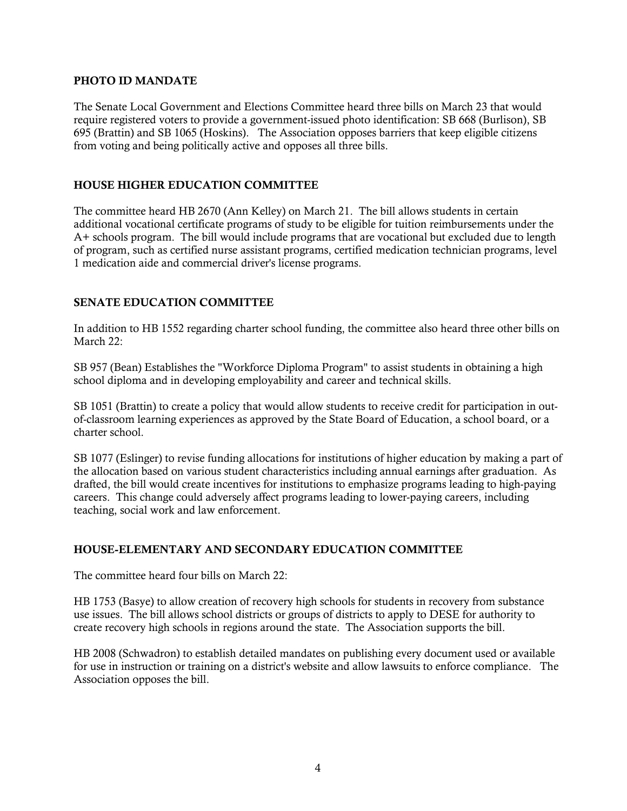#### PHOTO ID MANDATE

The Senate Local Government and Elections Committee heard three bills on March 23 that would require registered voters to provide a government-issued photo identification: SB 668 (Burlison), SB 695 (Brattin) and SB 1065 (Hoskins). The Association opposes barriers that keep eligible citizens from voting and being politically active and opposes all three bills.

# HOUSE HIGHER EDUCATION COMMITTEE

The committee heard HB 2670 (Ann Kelley) on March 21. The bill allows students in certain additional vocational certificate programs of study to be eligible for tuition reimbursements under the A+ schools program. The bill would include programs that are vocational but excluded due to length of program, such as certified nurse assistant programs, certified medication technician programs, level 1 medication aide and commercial driver's license programs.

#### SENATE EDUCATION COMMITTEE

In addition to HB 1552 regarding charter school funding, the committee also heard three other bills on March 22:

SB 957 (Bean) Establishes the "Workforce Diploma Program" to assist students in obtaining a high school diploma and in developing employability and career and technical skills.

SB 1051 (Brattin) to create a policy that would allow students to receive credit for participation in outof-classroom learning experiences as approved by the State Board of Education, a school board, or a charter school.

SB 1077 (Eslinger) to revise funding allocations for institutions of higher education by making a part of the allocation based on various student characteristics including annual earnings after graduation. As drafted, the bill would create incentives for institutions to emphasize programs leading to high-paying careers. This change could adversely affect programs leading to lower-paying careers, including teaching, social work and law enforcement.

# HOUSE-ELEMENTARY AND SECONDARY EDUCATION COMMITTEE

The committee heard four bills on March 22:

HB 1753 (Basye) to allow creation of recovery high schools for students in recovery from substance use issues. The bill allows school districts or groups of districts to apply to DESE for authority to create recovery high schools in regions around the state. The Association supports the bill.

HB 2008 (Schwadron) to establish detailed mandates on publishing every document used or available for use in instruction or training on a district's website and allow lawsuits to enforce compliance. The Association opposes the bill.